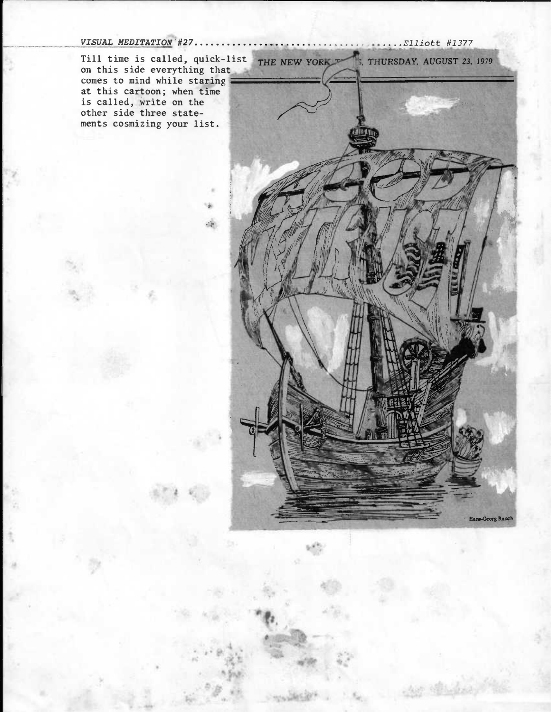